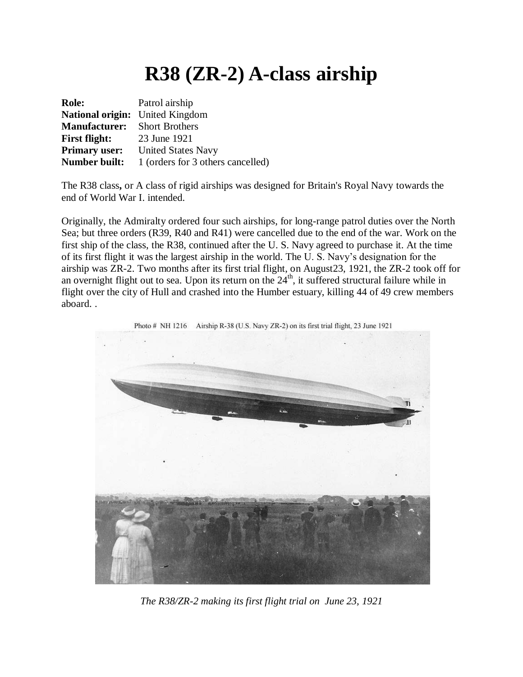## **R38 (ZR-2) A-class airship**

| <b>Role:</b>                        | Patrol airship                         |
|-------------------------------------|----------------------------------------|
|                                     | <b>National origin:</b> United Kingdom |
| <b>Manufacturer:</b> Short Brothers |                                        |
| <b>First flight:</b>                | 23 June 1921                           |
| <b>Primary user:</b>                | <b>United States Navy</b>              |
| <b>Number built:</b>                | 1 (orders for 3 others cancelled)      |

The R38 class**,** or A class of rigid airships was designed for Britain's Royal Navy towards the end of World War I. intended.

Originally, the Admiralty ordered four such airships, for long-range patrol duties over the North Sea; but three orders (R39, R40 and R41) were cancelled due to the end of the war. Work on the first ship of the class, the R38, continued after the U. S. Navy agreed to purchase it. At the time of its first flight it was the largest airship in the world. The U. S. Navy's designation for the airship was ZR-2. Two months after its first trial flight, on August23, 1921, the ZR-2 took off for an overnight flight out to sea. Upon its return on the  $24<sup>th</sup>$ , it suffered structural failure while in flight over the city of Hull and crashed into the Humber estuary, killing 44 of 49 crew members aboard. .



*The R38/ZR-2 making its first flight trial on June 23, 1921*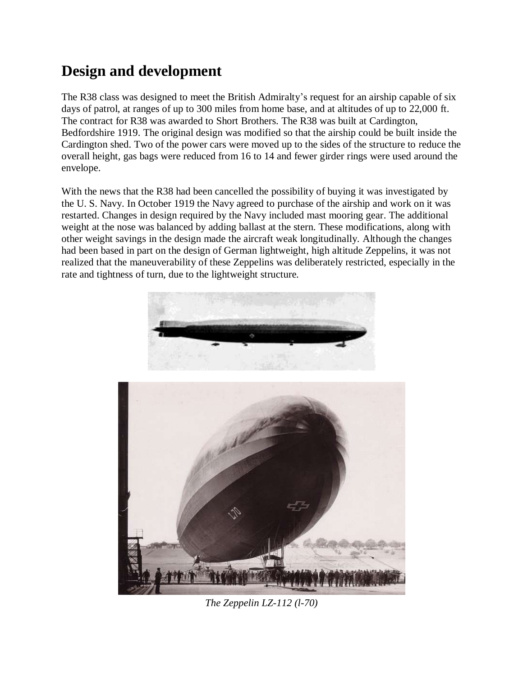## **Design and development**

The R38 class was designed to meet the British Admiralty's request for an airship capable of six days of patrol, at ranges of up to 300 miles from home base, and at altitudes of up to 22,000 ft. The contract for R38 was awarded to Short Brothers. The R38 was built at Cardington, Bedfordshire 1919. The original design was modified so that the airship could be built inside the Cardington shed. Two of the power cars were moved up to the sides of the structure to reduce the overall height, gas bags were reduced from 16 to 14 and fewer girder rings were used around the envelope.

With the news that the R38 had been cancelled the possibility of buying it was investigated by the U. S. Navy. In October 1919 the Navy agreed to purchase of the airship and work on it was restarted. Changes in design required by the Navy included mast mooring gear. The additional weight at the nose was balanced by adding ballast at the stern. These modifications, along with other weight savings in the design made the aircraft weak longitudinally. Although the changes had been based in part on the design of German lightweight, high altitude Zeppelins, it was not realized that the maneuverability of these Zeppelins was deliberately restricted, especially in the rate and tightness of turn, due to the lightweight structure.



*The Zeppelin LZ-112 (l-70)*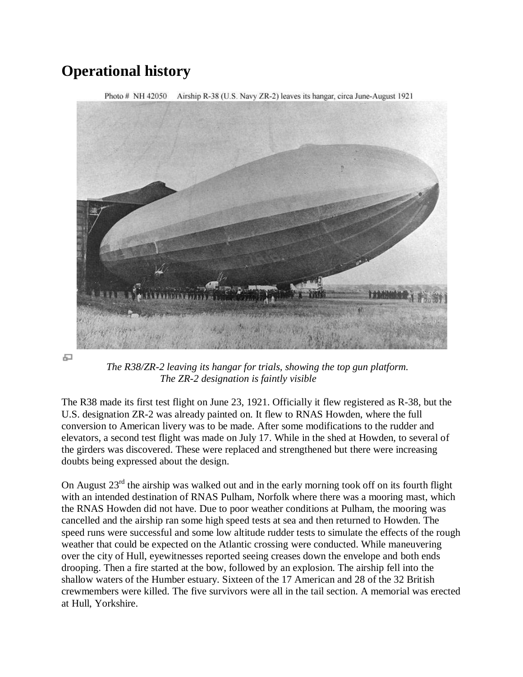## **Operational history**



모

*The R38/ZR-2 leaving its hangar for trials, showing the top gun platform. The ZR-2 designation is faintly visible*

The R38 made its first test flight on June 23, 1921. Officially it flew registered as R-38, but the U.S. designation ZR-2 was already painted on. It flew to RNAS Howden, where the full conversion to American livery was to be made. After some modifications to the rudder and elevators, a second test flight was made on July 17. While in the shed at Howden, to several of the girders was discovered. These were replaced and strengthened but there were increasing doubts being expressed about the design.

On August  $23<sup>rd</sup>$  the airship was walked out and in the early morning took off on its fourth flight with an intended destination of RNAS Pulham, Norfolk where there was a mooring mast, which the RNAS Howden did not have. Due to poor weather conditions at Pulham, the mooring was cancelled and the airship ran some high speed tests at sea and then returned to Howden. The speed runs were successful and some low altitude rudder tests to simulate the effects of the rough weather that could be expected on the Atlantic crossing were conducted. While maneuvering over the city of Hull, eyewitnesses reported seeing creases down the envelope and both ends drooping. Then a fire started at the bow, followed by an explosion. The airship fell into the shallow waters of the Humber estuary. Sixteen of the 17 American and 28 of the 32 British crewmembers were killed. The five survivors were all in the tail section. A memorial was erected at Hull, Yorkshire.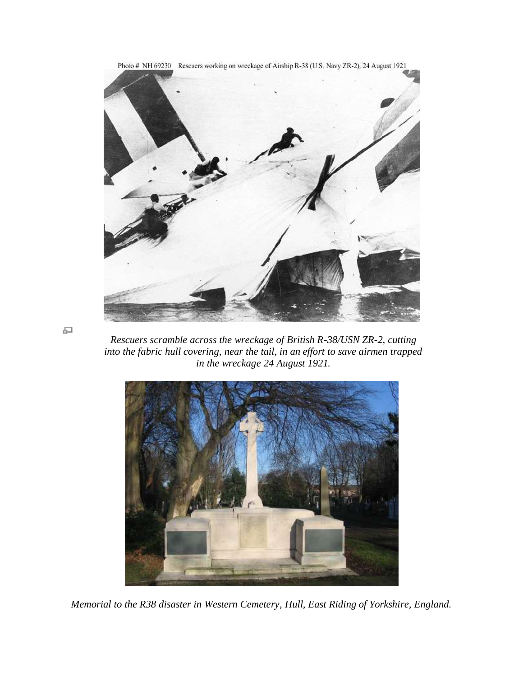

모

*Rescuers scramble across the wreckage of British R-38/USN ZR-2, cutting into the fabric hull covering, near the tail, in an effort to save airmen trapped in the wreckage 24 August 1921.*



*Memorial to the R38 disaster in Western Cemetery, Hull, East Riding of Yorkshire, England.*